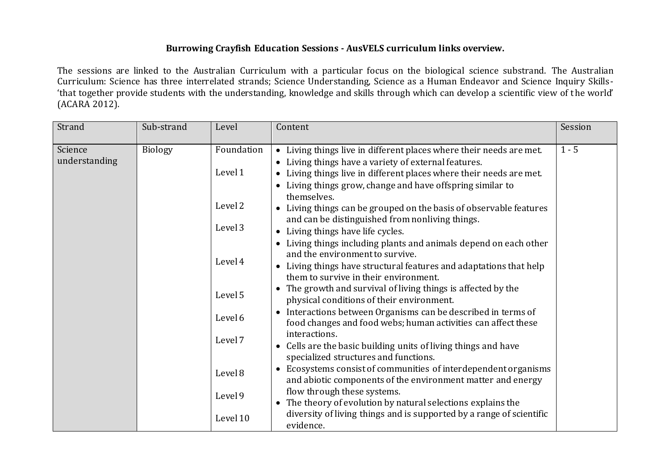## **Burrowing Crayfish Education Sessions - AusVELS curriculum links overview.**

The sessions are linked to the Australian Curriculum with a particular focus on the biological science substrand. The Australian Curriculum: Science has three interrelated strands; Science Understanding, Science as a Human Endeavor and Science Inquiry Skills- 'that together provide students with the understanding, knowledge and skills through which can develop a scientific view of the world' (ACARA 2012).

| Strand                   | Sub-strand     | Level                 | Content                                                                                                                                                                                                                                                        | Session |
|--------------------------|----------------|-----------------------|----------------------------------------------------------------------------------------------------------------------------------------------------------------------------------------------------------------------------------------------------------------|---------|
| Science<br>understanding | <b>Biology</b> | Foundation<br>Level 1 | • Living things live in different places where their needs are met.<br>Living things have a variety of external features.<br>• Living things live in different places where their needs are met.<br>• Living things grow, change and have offspring similar to | $1 - 5$ |
|                          |                | Level 2               | themselves.<br>Living things can be grouped on the basis of observable features<br>and can be distinguished from nonliving things.                                                                                                                             |         |
|                          |                | Level 3               | • Living things have life cycles.                                                                                                                                                                                                                              |         |
|                          |                | Level 4               | Living things including plants and animals depend on each other<br>and the environment to survive.<br>Living things have structural features and adaptations that help<br>them to survive in their environment.                                                |         |
|                          |                | Level 5               | The growth and survival of living things is affected by the<br>physical conditions of their environment.<br>Interactions between Organisms can be described in terms of<br>food changes and food webs; human activities can affect these                       |         |
|                          |                | Level 6               |                                                                                                                                                                                                                                                                |         |
|                          |                | Level 7               | interactions.<br>Cells are the basic building units of living things and have                                                                                                                                                                                  |         |
|                          |                | Level 8               | specialized structures and functions.<br>Ecosystems consist of communities of interdependent organisms<br>and abiotic components of the environment matter and energy                                                                                          |         |
|                          |                | Level 9               | flow through these systems.<br>The theory of evolution by natural selections explains the                                                                                                                                                                      |         |
|                          |                | Level 10              | diversity of living things and is supported by a range of scientific<br>evidence.                                                                                                                                                                              |         |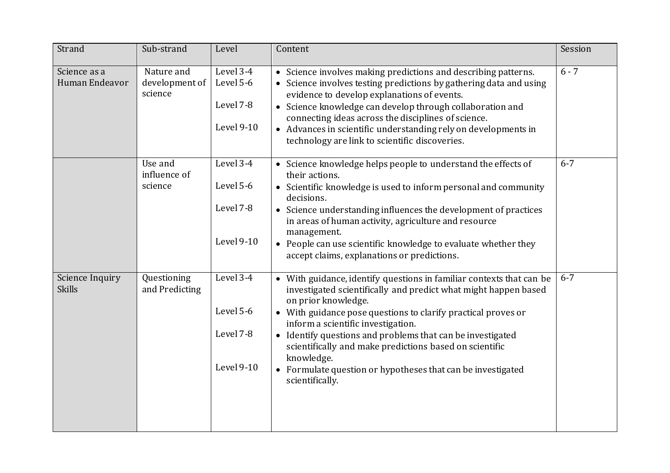| Strand                           | Sub-strand                              | Level                                             | Content                                                                                                                                                                                                                                                                                                                                                                                                                                                                                        | Session |
|----------------------------------|-----------------------------------------|---------------------------------------------------|------------------------------------------------------------------------------------------------------------------------------------------------------------------------------------------------------------------------------------------------------------------------------------------------------------------------------------------------------------------------------------------------------------------------------------------------------------------------------------------------|---------|
| Science as a<br>Human Endeavor   | Nature and<br>development of<br>science | Level 3-4<br>Level 5-6<br>Level 7-8<br>Level 9-10 | • Science involves making predictions and describing patterns.<br>• Science involves testing predictions by gathering data and using<br>evidence to develop explanations of events.<br>• Science knowledge can develop through collaboration and<br>connecting ideas across the disciplines of science.<br>• Advances in scientific understanding rely on developments in<br>technology are link to scientific discoveries.                                                                    | $6 - 7$ |
|                                  | Use and<br>influence of<br>science      | Level 3-4<br>Level 5-6<br>Level 7-8<br>Level 9-10 | • Science knowledge helps people to understand the effects of<br>their actions.<br>• Scientific knowledge is used to inform personal and community<br>decisions.<br>• Science understanding influences the development of practices<br>in areas of human activity, agriculture and resource<br>management.<br>• People can use scientific knowledge to evaluate whether they<br>accept claims, explanations or predictions.                                                                    | $6 - 7$ |
| Science Inquiry<br><b>Skills</b> | Questioning<br>and Predicting           | Level 3-4<br>Level 5-6<br>Level 7-8<br>Level 9-10 | • With guidance, identify questions in familiar contexts that can be<br>investigated scientifically and predict what might happen based<br>on prior knowledge.<br>• With guidance pose questions to clarify practical proves or<br>inform a scientific investigation.<br>• Identify questions and problems that can be investigated<br>scientifically and make predictions based on scientific<br>knowledge.<br>• Formulate question or hypotheses that can be investigated<br>scientifically. | $6 - 7$ |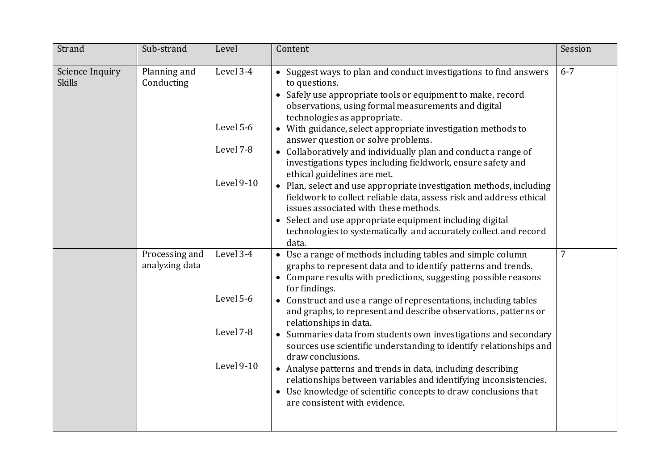| Strand                           | Sub-strand                       | Level                                             | Content                                                                                                                                                                                                                                                                                                                                                                                                                                                                                                                                                                                                                                                                                                                                                                                                                                        | Session         |
|----------------------------------|----------------------------------|---------------------------------------------------|------------------------------------------------------------------------------------------------------------------------------------------------------------------------------------------------------------------------------------------------------------------------------------------------------------------------------------------------------------------------------------------------------------------------------------------------------------------------------------------------------------------------------------------------------------------------------------------------------------------------------------------------------------------------------------------------------------------------------------------------------------------------------------------------------------------------------------------------|-----------------|
| Science Inquiry<br><b>Skills</b> | Planning and<br>Conducting       | Level 3-4<br>Level 5-6<br>Level 7-8<br>Level 9-10 | • Suggest ways to plan and conduct investigations to find answers<br>to questions.<br>• Safely use appropriate tools or equipment to make, record<br>observations, using formal measurements and digital<br>technologies as appropriate.<br>• With guidance, select appropriate investigation methods to<br>answer question or solve problems.<br>• Collaboratively and individually plan and conduct a range of<br>investigations types including fieldwork, ensure safety and<br>ethical guidelines are met.<br>• Plan, select and use appropriate investigation methods, including<br>fieldwork to collect reliable data, assess risk and address ethical<br>issues associated with these methods.<br>• Select and use appropriate equipment including digital<br>technologies to systematically and accurately collect and record<br>data. | $6 - 7$         |
|                                  | Processing and<br>analyzing data | Level 3-4<br>Level 5-6<br>Level 7-8<br>Level 9-10 | • Use a range of methods including tables and simple column<br>graphs to represent data and to identify patterns and trends.<br>• Compare results with predictions, suggesting possible reasons<br>for findings.<br>• Construct and use a range of representations, including tables<br>and graphs, to represent and describe observations, patterns or<br>relationships in data.<br>• Summaries data from students own investigations and secondary<br>sources use scientific understanding to identify relationships and<br>draw conclusions.<br>• Analyse patterns and trends in data, including describing<br>relationships between variables and identifying inconsistencies.<br>• Use knowledge of scientific concepts to draw conclusions that<br>are consistent with evidence.                                                         | $7\overline{ }$ |